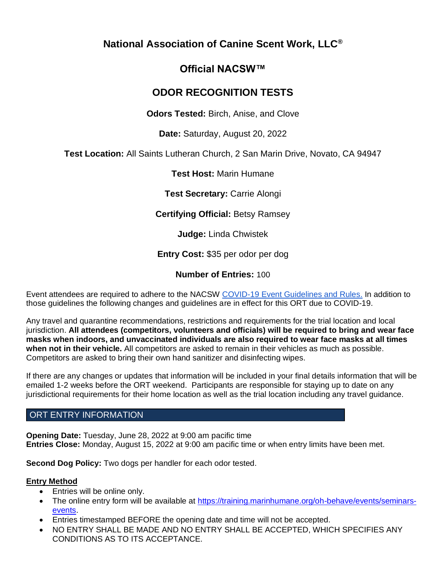# **National Association of Canine Scent Work, LLC®**

# **Official NACSW™**

# **ODOR RECOGNITION TESTS**

**Odors Tested:** Birch, Anise, and Clove

**Date:** Saturday, August 20, 2022

**Test Location:** All Saints Lutheran Church, 2 San Marin Drive, Novato, CA 94947

**Test Host:** Marin Humane

**Test Secretary:** Carrie Alongi

**Certifying Official:** Betsy Ramsey

**Judge:** Linda Chwistek

**Entry Cost:** \$35 per odor per dog

**Number of Entries:** 100

Event attendees are required to adhere to the NACSW [COVID-19 Event Guidelines and Rules.](https://drive.google.com/open?id=1pMMICXeMDJV2iFxAFOuPAMXEBoRmaik0qzSE4tiZuSI) In addition to those guidelines the following changes and guidelines are in effect for this ORT due to COVID-19.

Any travel and quarantine recommendations, restrictions and requirements for the trial location and local jurisdiction. **All attendees (competitors, volunteers and officials) will be required to bring and wear face masks when indoors, and unvaccinated individuals are also required to wear face masks at all times when not in their vehicle.** All competitors are asked to remain in their vehicles as much as possible. Competitors are asked to bring their own hand sanitizer and disinfecting wipes.

If there are any changes or updates that information will be included in your final details information that will be emailed 1-2 weeks before the ORT weekend. Participants are responsible for staying up to date on any jurisdictional requirements for their home location as well as the trial location including any travel guidance.

# ORT ENTRY INFORMATION

**Opening Date:** Tuesday, June 28, 2022 at 9:00 am pacific time **Entries Close:** Monday, August 15, 2022 at 9:00 am pacific time or when entry limits have been met.

**Second Dog Policy:** Two dogs per handler for each odor tested.

# **Entry Method**

- Entries will be online only.
- The online entry form will be available at [https://training.marinhumane.org/oh-behave/events/seminars](https://training.marinhumane.org/oh-behave/events/seminars-events)[events.](https://training.marinhumane.org/oh-behave/events/seminars-events)
- Entries timestamped BEFORE the opening date and time will not be accepted.
- NO ENTRY SHALL BE MADE AND NO ENTRY SHALL BE ACCEPTED, WHICH SPECIFIES ANY CONDITIONS AS TO ITS ACCEPTANCE.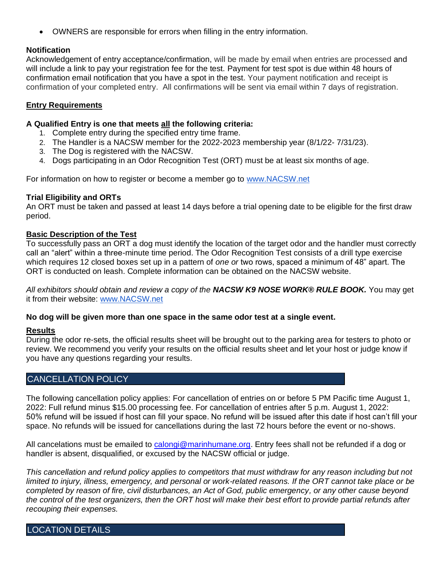• OWNERS are responsible for errors when filling in the entry information.

## **Notification**

Acknowledgement of entry acceptance/confirmation, will be made by email when entries are processed and will include a link to pay your registration fee for the test. Payment for test spot is due within 48 hours of confirmation email notification that you have a spot in the test. Your payment notification and receipt is confirmation of your completed entry. All confirmations will be sent via email within 7 days of registration.

## **Entry Requirements**

### **A Qualified Entry is one that meets all the following criteria:**

- 1. Complete entry during the specified entry time frame.
- 2. The Handler is a NACSW member for the 2022-2023 membership year (8/1/22- 7/31/23).
- 3. The Dog is registered with the NACSW.
- 4. Dogs participating in an Odor Recognition Test (ORT) must be at least six months of age.

For information on how to register or become a member go t[o](http://www.nacsw.net/) [www.NACSW.net](http://www.nacsw.net/)

## **Trial Eligibility and ORTs**

An ORT must be taken and passed at least 14 days before a trial opening date to be eligible for the first draw period.

## **Basic Description of the Test**

To successfully pass an ORT a dog must identify the location of the target odor and the handler must correctly call an "alert" within a three-minute time period. The Odor Recognition Test consists of a drill type exercise which requires 12 closed boxes set up in a pattern of *one or* two rows, spaced a minimum of 48" apart. The ORT is conducted on leash. Complete information can be obtained on the NACSW website.

*All exhibitors should obtain and review a copy of the NACSW K9 NOSE WORK® RULE BOOK.* You may get it from their website[:](http://www.nacsw.net/) [www.NACSW.net](http://www.nacsw.net/)

### **No dog will be given more than one space in the same odor test at a single event.**

### **Results**

During the odor re-sets, the official results sheet will be brought out to the parking area for testers to photo or review. We recommend you verify your results on the official results sheet and let your host or judge know if you have any questions regarding your results.

# CANCELLATION POLICY

The following cancellation policy applies: For cancellation of entries on or before 5 PM Pacific time August 1, 2022: Full refund minus \$15.00 processing fee. For cancellation of entries after 5 p.m. August 1, 2022: 50% refund will be issued if host can fill your space. No refund will be issued after this date if host can't fill your space. No refunds will be issued for cancellations during the last 72 hours before the event or no-shows.

All cancelations must be emailed to [calongi@marinhumane.org.](mailto:calongi@marinhumane.org) Entry fees shall not be refunded if a dog or handler is absent, disqualified, or excused by the NACSW official or judge.

This cancellation and refund policy applies to competitors that must withdraw for any reason including but not *limited to injury, illness, emergency, and personal or work-related reasons. If the ORT cannot take place or be completed by reason of fire, civil disturbances, an Act of God, public emergency, or any other cause beyond the control of the test organizers, then the ORT host will make their best effort to provide partial refunds after recouping their expenses.*

LOCATION DETAILS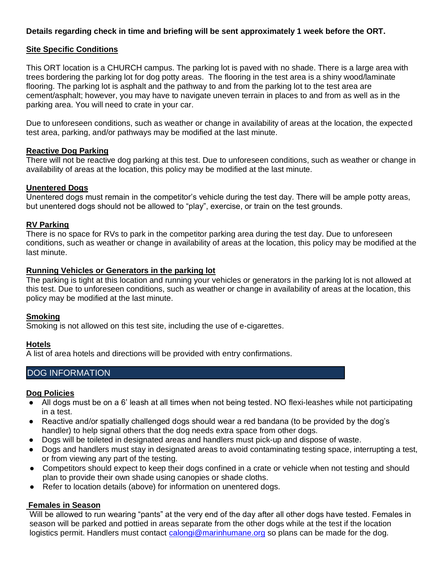## **Details regarding check in time and briefing will be sent approximately 1 week before the ORT.**

## **Site Specific Conditions**

This ORT location is a CHURCH campus. The parking lot is paved with no shade. There is a large area with trees bordering the parking lot for dog potty areas. The flooring in the test area is a shiny wood/laminate flooring. The parking lot is asphalt and the pathway to and from the parking lot to the test area are cement/asphalt; however, you may have to navigate uneven terrain in places to and from as well as in the parking area. You will need to crate in your car.

Due to unforeseen conditions, such as weather or change in availability of areas at the location, the expected test area, parking, and/or pathways may be modified at the last minute.

#### **Reactive Dog Parking**

There will not be reactive dog parking at this test. Due to unforeseen conditions, such as weather or change in availability of areas at the location, this policy may be modified at the last minute.

#### **Unentered Dogs**

Unentered dogs must remain in the competitor's vehicle during the test day. There will be ample potty areas, but unentered dogs should not be allowed to "play", exercise, or train on the test grounds.

#### **RV Parking**

There is no space for RVs to park in the competitor parking area during the test day. Due to unforeseen conditions, such as weather or change in availability of areas at the location, this policy may be modified at the last minute.

#### **Running Vehicles or Generators in the parking lot**

The parking is tight at this location and running your vehicles or generators in the parking lot is not allowed at this test. Due to unforeseen conditions, such as weather or change in availability of areas at the location, this policy may be modified at the last minute.

#### **Smoking**

Smoking is not allowed on this test site, including the use of e-cigarettes.

#### **Hotels**

A list of area hotels and directions will be provided with entry confirmations.

# DOG INFORMATION

#### **Dog Policies**

- All dogs must be on a 6' leash at all times when not being tested. NO flexi-leashes while not participating in a test.
- Reactive and/or spatially challenged dogs should wear a red bandana (to be provided by the dog's handler) to help signal others that the dog needs extra space from other dogs.
- Dogs will be toileted in designated areas and handlers must pick-up and dispose of waste.
- Dogs and handlers must stay in designated areas to avoid contaminating testing space, interrupting a test, or from viewing any part of the testing.
- Competitors should expect to keep their dogs confined in a crate or vehicle when not testing and should plan to provide their own shade using canopies or shade cloths.
- Refer to location details (above) for information on unentered dogs.

### **Females in Season**

Will be allowed to run wearing "pants" at the very end of the day after all other dogs have tested. Females in season will be parked and pottied in areas separate from the other dogs while at the test if the location logistics permit. Handlers must contact [calongi@marinhumane.org](mailto:calongi@marinhumane.org) so plans can be made for the dog.